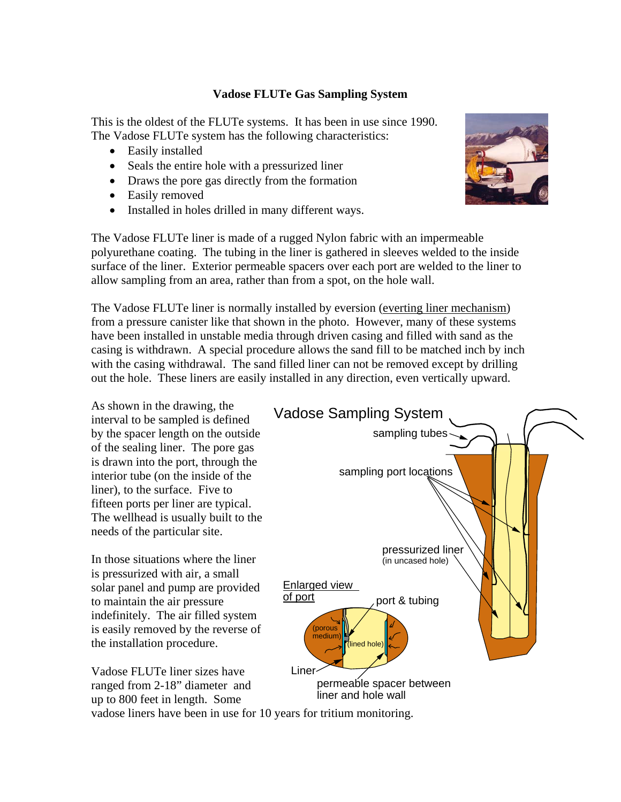## **Vadose FLUTe Gas Sampling System**

This is the oldest of the FLUTe systems. It has been in use since 1990. The Vadose FLUTe system has the following characteristics:

- Easily installed
- Seals the entire hole with a pressurized liner
- Draws the pore gas directly from the formation
- Easily removed
- Installed in holes drilled in many different ways.



The Vadose FLUTe liner is made of a rugged Nylon fabric with an impermeable polyurethane coating. The tubing in the liner is gathered in sleeves welded to the inside surface of the liner. Exterior permeable spacers over each port are welded to the liner to allow sampling from an area, rather than from a spot, on the hole wall.

The Vadose FLUTe liner is normally installed by eversion (everting liner mechanism) from a pressure canister like that shown in the photo. However, many of these systems have been installed in unstable media through driven casing and filled with sand as the casing is withdrawn. A special procedure allows the sand fill to be matched inch by inch with the casing withdrawal. The sand filled liner can not be removed except by drilling out the hole. These liners are easily installed in any direction, even vertically upward.

As shown in the drawing, the interval to be sampled is defined by the spacer length on the outside of the sealing liner. The pore gas is drawn into the port, through the interior tube (on the inside of the liner), to the surface. Five to fifteen ports per liner are typical. The wellhead is usually built to the needs of the particular site.

In those situations where the liner is pressurized with air, a small solar panel and pump are provided to maintain the air pressure indefinitely. The air filled system is easily removed by the reverse of the installation procedure.

Vadose FLUTe liner sizes have

up to 800 feet in length. Some



vadose liners have been in use for 10 years for tritium monitoring.